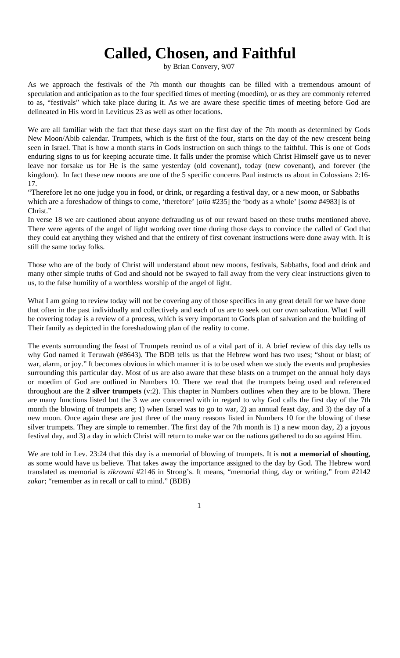## **Called, Chosen, and Faithful**

by Brian Convery, 9/07

As we approach the festivals of the 7th month our thoughts can be filled with a tremendous amount of speculation and anticipation as to the four specified times of meeting (moedim), or as they are commonly referred to as, "festivals" which take place during it. As we are aware these specific times of meeting before God are delineated in His word in Leviticus 23 as well as other locations.

We are all familiar with the fact that these days start on the first day of the 7th month as determined by Gods New Moon/Abib calendar. Trumpets, which is the first of the four, starts on the day of the new crescent being seen in Israel. That is how a month starts in Gods instruction on such things to the faithful. This is one of Gods enduring signs to us for keeping accurate time. It falls under the promise which Christ Himself gave us to never leave nor forsake us for He is the same yesterday (old covenant), today (new covenant), and forever (the kingdom). In fact these new moons are one of the 5 specific concerns Paul instructs us about in Colossians 2:16- 17.

"Therefore let no one judge you in food, or drink, or regarding a festival day, or a new moon, or Sabbaths which are a foreshadow of things to come, 'therefore' [*alla* #235] the 'body as a whole' [*soma* #4983] is of Christ."

In verse 18 we are cautioned about anyone defrauding us of our reward based on these truths mentioned above. There were agents of the angel of light working over time during those days to convince the called of God that they could eat anything they wished and that the entirety of first covenant instructions were done away with. It is still the same today folks.

Those who are of the body of Christ will understand about new moons, festivals, Sabbaths, food and drink and many other simple truths of God and should not be swayed to fall away from the very clear instructions given to us, to the false humility of a worthless worship of the angel of light.

What I am going to review today will not be covering any of those specifics in any great detail for we have done that often in the past individually and collectively and each of us are to seek out our own salvation. What I will be covering today is a review of a process, which is very important to Gods plan of salvation and the building of Their family as depicted in the foreshadowing plan of the reality to come.

The events surrounding the feast of Trumpets remind us of a vital part of it. A brief review of this day tells us why God named it Teruwah (#8643). The BDB tells us that the Hebrew word has two uses; "shout or blast; of war, alarm, or joy." It becomes obvious in which manner it is to be used when we study the events and prophesies surrounding this particular day. Most of us are also aware that these blasts on a trumpet on the annual holy days or moedim of God are outlined in Numbers 10. There we read that the trumpets being used and referenced throughout are the **2 silver trumpets** (v:2). This chapter in Numbers outlines when they are to be blown. There are many functions listed but the 3 we are concerned with in regard to why God calls the first day of the 7th month the blowing of trumpets are; 1) when Israel was to go to war, 2) an annual feast day, and 3) the day of a new moon. Once again these are just three of the many reasons listed in Numbers 10 for the blowing of these silver trumpets. They are simple to remember. The first day of the 7th month is 1) a new moon day, 2) a joyous festival day, and 3) a day in which Christ will return to make war on the nations gathered to do so against Him.

We are told in Lev. 23:24 that this day is a memorial of blowing of trumpets. It is **not a memorial of shouting**, as some would have us believe. That takes away the importance assigned to the day by God. The Hebrew word translated as memorial is *zikrowni* #2146 in Strong's. It means, "memorial thing, day or writing," from #2142 *zakar*; "remember as in recall or call to mind." (BDB)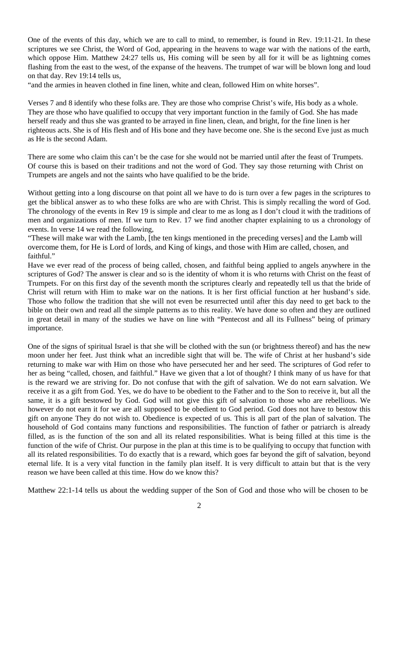One of the events of this day, which we are to call to mind, to remember, is found in Rev. 19:11-21. In these scriptures we see Christ, the Word of God, appearing in the heavens to wage war with the nations of the earth, which oppose Him. Matthew 24:27 tells us, His coming will be seen by all for it will be as lightning comes flashing from the east to the west, of the expanse of the heavens. The trumpet of war will be blown long and loud on that day. Rev 19:14 tells us,

"and the armies in heaven clothed in fine linen, white and clean, followed Him on white horses".

Verses 7 and 8 identify who these folks are. They are those who comprise Christ's wife, His body as a whole. They are those who have qualified to occupy that very important function in the family of God. She has made herself ready and thus she was granted to be arrayed in fine linen, clean, and bright, for the fine linen is her righteous acts. She is of His flesh and of His bone and they have become one. She is the second Eve just as much as He is the second Adam.

There are some who claim this can't be the case for she would not be married until after the feast of Trumpets. Of course this is based on their traditions and not the word of God. They say those returning with Christ on Trumpets are angels and not the saints who have qualified to be the bride.

Without getting into a long discourse on that point all we have to do is turn over a few pages in the scriptures to get the biblical answer as to who these folks are who are with Christ. This is simply recalling the word of God. The chronology of the events in Rev 19 is simple and clear to me as long as I don't cloud it with the traditions of men and organizations of men. If we turn to Rev. 17 we find another chapter explaining to us a chronology of events. In verse 14 we read the following,

"These will make war with the Lamb, [the ten kings mentioned in the preceding verses] and the Lamb will overcome them, for He is Lord of lords, and King of kings, and those with Him are called, chosen, and faithful."

Have we ever read of the process of being called, chosen, and faithful being applied to angels anywhere in the scriptures of God? The answer is clear and so is the identity of whom it is who returns with Christ on the feast of Trumpets. For on this first day of the seventh month the scriptures clearly and repeatedly tell us that the bride of Christ will return with Him to make war on the nations. It is her first official function at her husband's side. Those who follow the tradition that she will not even be resurrected until after this day need to get back to the bible on their own and read all the simple patterns as to this reality. We have done so often and they are outlined in great detail in many of the studies we have on line with "Pentecost and all its Fullness" being of primary importance.

One of the signs of spiritual Israel is that she will be clothed with the sun (or brightness thereof) and has the new moon under her feet. Just think what an incredible sight that will be. The wife of Christ at her husband's side returning to make war with Him on those who have persecuted her and her seed. The scriptures of God refer to her as being "called, chosen, and faithful." Have we given that a lot of thought? I think many of us have for that is the reward we are striving for. Do not confuse that with the gift of salvation. We do not earn salvation. We receive it as a gift from God. Yes, we do have to be obedient to the Father and to the Son to receive it, but all the same, it is a gift bestowed by God. God will not give this gift of salvation to those who are rebellious. We however do not earn it for we are all supposed to be obedient to God period. God does not have to bestow this gift on anyone They do not wish to. Obedience is expected of us. This is all part of the plan of salvation. The household of God contains many functions and responsibilities. The function of father or patriarch is already filled, as is the function of the son and all its related responsibilities. What is being filled at this time is the function of the wife of Christ. Our purpose in the plan at this time is to be qualifying to occupy that function with all its related responsibilities. To do exactly that is a reward, which goes far beyond the gift of salvation, beyond eternal life. It is a very vital function in the family plan itself. It is very difficult to attain but that is the very reason we have been called at this time. How do we know this?

Matthew 22:1-14 tells us about the wedding supper of the Son of God and those who will be chosen to be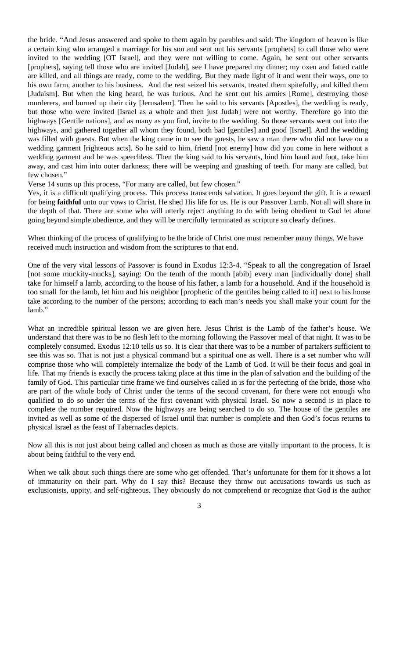the bride. "And Jesus answered and spoke to them again by parables and said: The kingdom of heaven is like a certain king who arranged a marriage for his son and sent out his servants [prophets] to call those who were invited to the wedding [OT Israel], and they were not willing to come. Again, he sent out other servants [prophets], saying tell those who are invited [Judah], see I have prepared my dinner; my oxen and fatted cattle are killed, and all things are ready, come to the wedding. But they made light of it and went their ways, one to his own farm, another to his business. And the rest seized his servants, treated them spitefully, and killed them [Judaism]. But when the king heard, he was furious. And he sent out his armies [Rome], destroying those murderers, and burned up their city [Jerusalem]. Then he said to his servants [Apostles], the wedding is ready, but those who were invited [Israel as a whole and then just Judah] were not worthy. Therefore go into the highways [Gentile nations], and as many as you find, invite to the wedding. So those servants went out into the highways, and gathered together all whom they found, both bad [gentiles] and good [Israel]. And the wedding was filled with guests. But when the king came in to see the guests, he saw a man there who did not have on a wedding garment [righteous acts]. So he said to him, friend [not enemy] how did you come in here without a wedding garment and he was speechless. Then the king said to his servants, bind him hand and foot, take him away, and cast him into outer darkness; there will be weeping and gnashing of teeth. For many are called, but few chosen."

Verse 14 sums up this process, "For many are called, but few chosen."

Yes, it is a difficult qualifying process. This process transcends salvation. It goes beyond the gift. It is a reward for being **faithful** unto our vows to Christ. He shed His life for us. He is our Passover Lamb. Not all will share in the depth of that. There are some who will utterly reject anything to do with being obedient to God let alone going beyond simple obedience, and they will be mercifully terminated as scripture so clearly defines.

When thinking of the process of qualifying to be the bride of Christ one must remember many things. We have received much instruction and wisdom from the scriptures to that end.

One of the very vital lessons of Passover is found in Exodus 12:3-4. "Speak to all the congregation of Israel [not some muckity-mucks], saying: On the tenth of the month [abib] every man [individually done] shall take for himself a lamb, according to the house of his father, a lamb for a household. And if the household is too small for the lamb, let him and his neighbor [prophetic of the gentiles being called to it] next to his house take according to the number of the persons; according to each man's needs you shall make your count for the lamb."

What an incredible spiritual lesson we are given here. Jesus Christ is the Lamb of the father's house. We understand that there was to be no flesh left to the morning following the Passover meal of that night. It was to be completely consumed. Exodus 12:10 tells us so. It is clear that there was to be a number of partakers sufficient to see this was so. That is not just a physical command but a spiritual one as well. There is a set number who will comprise those who will completely internalize the body of the Lamb of God. It will be their focus and goal in life. That my friends is exactly the process taking place at this time in the plan of salvation and the building of the family of God. This particular time frame we find ourselves called in is for the perfecting of the bride, those who are part of the whole body of Christ under the terms of the second covenant, for there were not enough who qualified to do so under the terms of the first covenant with physical Israel. So now a second is in place to complete the number required. Now the highways are being searched to do so. The house of the gentiles are invited as well as some of the dispersed of Israel until that number is complete and then God's focus returns to physical Israel as the feast of Tabernacles depicts.

Now all this is not just about being called and chosen as much as those are vitally important to the process. It is about being faithful to the very end.

When we talk about such things there are some who get offended. That's unfortunate for them for it shows a lot of immaturity on their part. Why do I say this? Because they throw out accusations towards us such as exclusionists, uppity, and self-righteous. They obviously do not comprehend or recognize that God is the author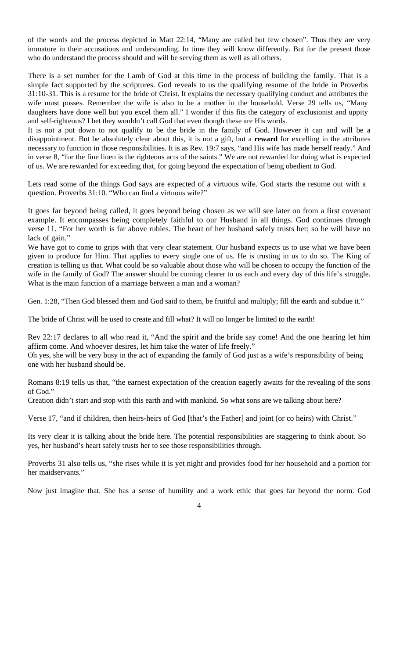of the words and the process depicted in Matt 22:14, "Many are called but few chosen". Thus they are very immature in their accusations and understanding. In time they will know differently. But for the present those who do understand the process should and will be serving them as well as all others.

There is a set number for the Lamb of God at this time in the process of building the family. That is a simple fact supported by the scriptures. God reveals to us the qualifying resume of the bride in Proverbs 31:10-31. This is a resume for the bride of Christ. It explains the necessary qualifying conduct and attributes the wife must posses. Remember the wife is also to be a mother in the household. Verse 29 tells us, "Many daughters have done well but you excel them all." I wonder if this fits the category of exclusionist and uppity and self-righteous? I bet they wouldn't call God that even though these are His words.

It is not a put down to not qualify to be the bride in the family of God. However it can and will be a disappointment. But be absolutely clear about this, it is not a gift, but a **reward** for excelling in the attributes necessary to function in those responsibilities. It is as Rev. 19:7 says, "and His wife has made herself ready." And in verse 8, "for the fine linen is the righteous acts of the saints." We are not rewarded for doing what is expected of us. We are rewarded for exceeding that, for going beyond the expectation of being obedient to God.

Lets read some of the things God says are expected of a virtuous wife. God starts the resume out with a question. Proverbs 31:10. "Who can find a virtuous wife?"

It goes far beyond being called, it goes beyond being chosen as we will see later on from a first covenant example. It encompasses being completely faithful to our Husband in all things. God continues through verse 11. "For her worth is far above rubies. The heart of her husband safely trusts her; so he will have no lack of gain."

We have got to come to grips with that very clear statement. Our husband expects us to use what we have been given to produce for Him. That applies to every single one of us. He is trusting in us to do so. The King of creation is telling us that. What could be so valuable about those who will be chosen to occupy the function of the wife in the family of God? The answer should be coming clearer to us each and every day of this life's struggle. What is the main function of a marriage between a man and a woman?

Gen. 1:28, "Then God blessed them and God said to them, be fruitful and multiply; fill the earth and subdue it."

The bride of Christ will be used to create and fill what? It will no longer be limited to the earth!

Rev 22:17 declares to all who read it, "And the spirit and the bride say come! And the one hearing let him affirm come. And whoever desires, let him take the water of life freely."

Oh yes, she will be very busy in the act of expanding the family of God just as a wife's responsibility of being one with her husband should be.

Romans 8:19 tells us that, "the earnest expectation of the creation eagerly awaits for the revealing of the sons of God."

Creation didn't start and stop with this earth and with mankind. So what sons are we talking about here?

Verse 17, "and if children, then heirs-heirs of God [that's the Father] and joint (or co heirs) with Christ."

Its very clear it is talking about the bride here. The potential responsibilities are staggering to think about. So yes, her husband's heart safely trusts her to see those responsibilities through.

Proverbs 31 also tells us, "she rises while it is yet night and provides food for her household and a portion for her maidservants."

Now just imagine that. She has a sense of humility and a work ethic that goes far beyond the norm. God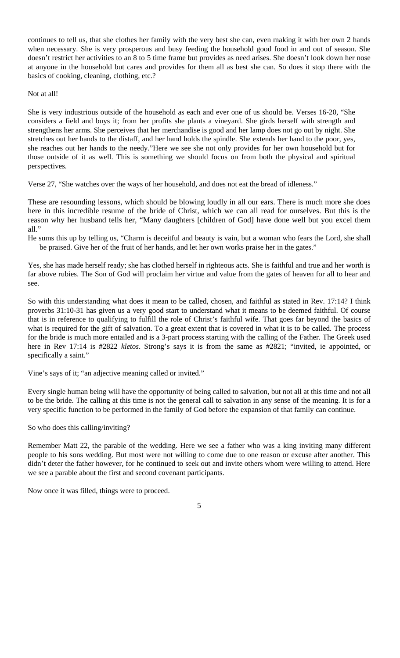continues to tell us, that she clothes her family with the very best she can, even making it with her own 2 hands when necessary. She is very prosperous and busy feeding the household good food in and out of season. She doesn't restrict her activities to an 8 to 5 time frame but provides as need arises. She doesn't look down her nose at anyone in the household but cares and provides for them all as best she can. So does it stop there with the basics of cooking, cleaning, clothing, etc.?

Not at all!

She is very industrious outside of the household as each and ever one of us should be. Verses 16-20, "She considers a field and buys it; from her profits she plants a vineyard. She girds herself with strength and strengthens her arms. She perceives that her merchandise is good and her lamp does not go out by night. She stretches out her hands to the distaff, and her hand holds the spindle. She extends her hand to the poor, yes, she reaches out her hands to the needy."Here we see she not only provides for her own household but for those outside of it as well. This is something we should focus on from both the physical and spiritual perspectives.

Verse 27, "She watches over the ways of her household, and does not eat the bread of idleness."

These are resounding lessons, which should be blowing loudly in all our ears. There is much more she does here in this incredible resume of the bride of Christ, which we can all read for ourselves. But this is the reason why her husband tells her, "Many daughters [children of God] have done well but you excel them all."

He sums this up by telling us, "Charm is deceitful and beauty is vain, but a woman who fears the Lord, she shall be praised. Give her of the fruit of her hands, and let her own works praise her in the gates."

Yes, she has made herself ready; she has clothed herself in righteous acts. She is faithful and true and her worth is far above rubies. The Son of God will proclaim her virtue and value from the gates of heaven for all to hear and see.

So with this understanding what does it mean to be called, chosen, and faithful as stated in Rev. 17:14? I think proverbs 31:10-31 has given us a very good start to understand what it means to be deemed faithful. Of course that is in reference to qualifying to fulfill the role of Christ's faithful wife. That goes far beyond the basics of what is required for the gift of salvation. To a great extent that is covered in what it is to be called. The process for the bride is much more entailed and is a 3-part process starting with the calling of the Father. The Greek used here in Rev 17:14 is #2822 *kletos*. Strong's says it is from the same as #2821; "invited, ie appointed, or specifically a saint."

Vine's says of it; "an adjective meaning called or invited."

Every single human being will have the opportunity of being called to salvation, but not all at this time and not all to be the bride. The calling at this time is not the general call to salvation in any sense of the meaning. It is for a very specific function to be performed in the family of God before the expansion of that family can continue.

So who does this calling/inviting?

Remember Matt 22, the parable of the wedding. Here we see a father who was a king inviting many different people to his sons wedding. But most were not willing to come due to one reason or excuse after another. This didn't deter the father however, for he continued to seek out and invite others whom were willing to attend. Here we see a parable about the first and second covenant participants.

Now once it was filled, things were to proceed.

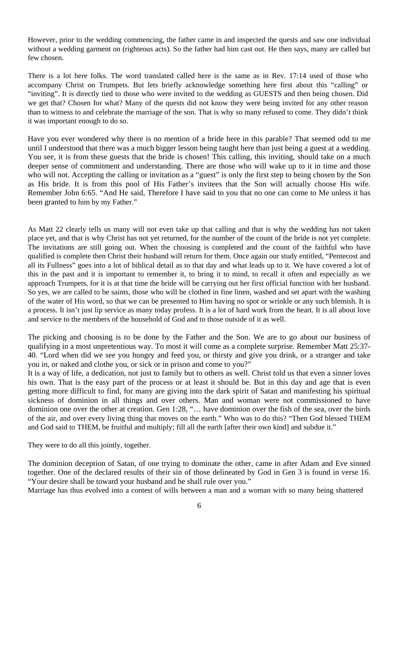However, prior to the wedding commencing, the father came in and inspected the quests and saw one individual without a wedding garment on (righteous acts). So the father had him cast out. He then says, many are called but few chosen.

There is a lot here folks. The word translated called here is the same as in Rev. 17:14 used of those who accompany Christ on Trumpets. But lets briefly acknowledge something here first about this "calling" or "inviting". It is directly tied to those who were invited to the wedding as GUESTS and then being chosen. Did we get that? Chosen for what? Many of the quests did not know they were being invited for any other reason than to witness to and celebrate the marriage of the son. That is why so many refused to come. They didn't think it was important enough to do so.

Have you ever wondered why there is no mention of a bride here in this parable? That seemed odd to me until I understood that there was a much bigger lesson being taught here than just being a guest at a wedding. You see, it is from these guests that the bride is chosen! This calling, this inviting, should take on a much deeper sense of commitment and understanding. There are those who will wake up to it in time and those who will not. Accepting the calling or invitation as a "guest" is only the first step to being chosen by the Son as His bride. It is from this pool of His Father's invitees that the Son will actually choose His wife. Remember John 6:65. "And He said, Therefore I have said to you that no one can come to Me unless it has been granted to him by my Father."

As Matt 22 clearly tells us many will not even take up that calling and that is why the wedding has not taken place yet, and that is why Christ has not yet returned, for the number of the count of the bride is not yet complete. The invitations are still going out. When the choosing is completed and the count of the faithful who have qualified is complete then Christ their husband will return for them. Once again our study entitled, "Pentecost and all its Fullness" goes into a lot of biblical detail as to that day and what leads up to it. We have covered a lot of this in the past and it is important to remember it, to bring it to mind, to recall it often and especially as we approach Trumpets, for it is at that time the bride will be carrying out her first official function with her husband. So yes, we are called to be saints, those who will be clothed in fine linen, washed and set apart with the washing of the water of His word, so that we can be presented to Him having no spot or wrinkle or any such blemish. It is a process. It isn't just lip service as many today profess. It is a lot of hard work from the heart. It is all about love and service to the members of the household of God and to those outside of it as well.

The picking and choosing is to be done by the Father and the Son. We are to go about our business of qualifying in a most unpretentious way. To most it will come as a complete surprise. Remember Matt 25:37- 40. "Lord when did we see you hungry and feed you, or thirsty and give you drink, or a stranger and take you in, or naked and clothe you, or sick or in prison and come to you?"

It is a way of life, a dedication, not just to family but to others as well. Christ told us that even a sinner loves his own. That is the easy part of the process or at least it should be. But in this day and age that is even getting more difficult to find, for many are giving into the dark spirit of Satan and manifesting his spiritual sickness of dominion in all things and over others. Man and woman were not commissioned to have dominion one over the other at creation. Gen 1:28, "… have dominion over the fish of the sea, over the birds of the air, and over every living thing that moves on the earth." Who was to do this? "Then God blessed THEM and God said to THEM, be fruitful and multiply; fill all the earth [after their own kind] and subdue it."

They were to do all this jointly, together.

The dominion deception of Satan, of one trying to dominate the other, came in after Adam and Eve sinned together. One of the declared results of their sin of those delineated by God in Gen 3 is found in verse 16. "Your desire shall be toward your husband and he shall rule over you."

Marriage has thus evolved into a contest of wills between a man and a woman with so many being shattered

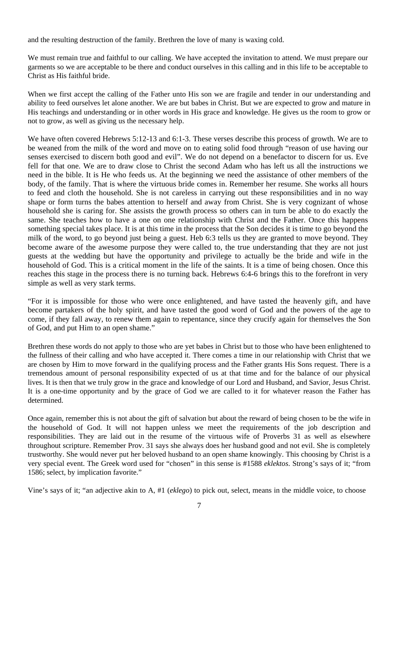and the resulting destruction of the family. Brethren the love of many is waxing cold.

We must remain true and faithful to our calling. We have accepted the invitation to attend. We must prepare our garments so we are acceptable to be there and conduct ourselves in this calling and in this life to be acceptable to Christ as His faithful bride.

When we first accept the calling of the Father unto His son we are fragile and tender in our understanding and ability to feed ourselves let alone another. We are but babes in Christ. But we are expected to grow and mature in His teachings and understanding or in other words in His grace and knowledge. He gives us the room to grow or not to grow, as well as giving us the necessary help.

We have often covered Hebrews 5:12-13 and 6:1-3. These verses describe this process of growth. We are to be weaned from the milk of the word and move on to eating solid food through "reason of use having our senses exercised to discern both good and evil". We do not depend on a benefactor to discern for us. Eve fell for that one. We are to draw close to Christ the second Adam who has left us all the instructions we need in the bible. It is He who feeds us. At the beginning we need the assistance of other members of the body, of the family. That is where the virtuous bride comes in. Remember her resume. She works all hours to feed and cloth the household. She is not careless in carrying out these responsibilities and in no way shape or form turns the babes attention to herself and away from Christ. She is very cognizant of whose household she is caring for. She assists the growth process so others can in turn be able to do exactly the same. She teaches how to have a one on one relationship with Christ and the Father. Once this happens something special takes place. It is at this time in the process that the Son decides it is time to go beyond the milk of the word, to go beyond just being a guest. Heb 6:3 tells us they are granted to move beyond. They become aware of the awesome purpose they were called to, the true understanding that they are not just guests at the wedding but have the opportunity and privilege to actually be the bride and wife in the household of God. This is a critical moment in the life of the saints. It is a time of being chosen. Once this reaches this stage in the process there is no turning back. Hebrews 6:4-6 brings this to the forefront in very simple as well as very stark terms.

"For it is impossible for those who were once enlightened, and have tasted the heavenly gift, and have become partakers of the holy spirit, and have tasted the good word of God and the powers of the age to come, if they fall away, to renew them again to repentance, since they crucify again for themselves the Son of God, and put Him to an open shame."

Brethren these words do not apply to those who are yet babes in Christ but to those who have been enlightened to the fullness of their calling and who have accepted it. There comes a time in our relationship with Christ that we are chosen by Him to move forward in the qualifying process and the Father grants His Sons request. There is a tremendous amount of personal responsibility expected of us at that time and for the balance of our physical lives. It is then that we truly grow in the grace and knowledge of our Lord and Husband, and Savior, Jesus Christ. It is a one-time opportunity and by the grace of God we are called to it for whatever reason the Father has determined.

Once again, remember this is not about the gift of salvation but about the reward of being chosen to be the wife in the household of God. It will not happen unless we meet the requirements of the job description and responsibilities. They are laid out in the resume of the virtuous wife of Proverbs 31 as well as elsewhere throughout scripture. Remember Prov. 31 says she always does her husband good and not evil. She is completely trustworthy. She would never put her beloved husband to an open shame knowingly. This choosing by Christ is a very special event. The Greek word used for "chosen" in this sense is #1588 *eklektos*. Strong's says of it; "from 1586; select, by implication favorite."

Vine's says of it; "an adjective akin to A, #1 (*eklego*) to pick out, select, means in the middle voice, to choose

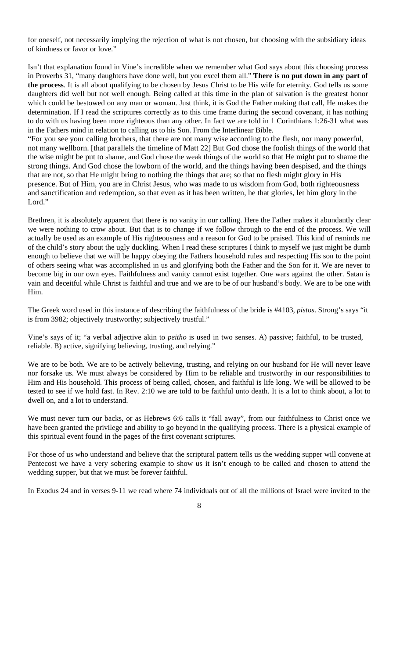for oneself, not necessarily implying the rejection of what is not chosen, but choosing with the subsidiary ideas of kindness or favor or love."

Isn't that explanation found in Vine's incredible when we remember what God says about this choosing process in Proverbs 31, "many daughters have done well, but you excel them all." **There is no put down in any part of the process**. It is all about qualifying to be chosen by Jesus Christ to be His wife for eternity. God tells us some daughters did well but not well enough. Being called at this time in the plan of salvation is the greatest honor which could be bestowed on any man or woman. Just think, it is God the Father making that call, He makes the determination. If I read the scriptures correctly as to this time frame during the second covenant, it has nothing to do with us having been more righteous than any other. In fact we are told in 1 Corinthians 1:26-31 what was in the Fathers mind in relation to calling us to his Son. From the Interlinear Bible.

"For you see your calling brothers, that there are not many wise according to the flesh, nor many powerful, not many wellborn. [that parallels the timeline of Matt 22] But God chose the foolish things of the world that the wise might be put to shame, and God chose the weak things of the world so that He might put to shame the strong things. And God chose the lowborn of the world, and the things having been despised, and the things that are not, so that He might bring to nothing the things that are; so that no flesh might glory in His presence. But of Him, you are in Christ Jesus, who was made to us wisdom from God, both righteousness and sanctification and redemption, so that even as it has been written, he that glories, let him glory in the Lord."

Brethren, it is absolutely apparent that there is no vanity in our calling. Here the Father makes it abundantly clear we were nothing to crow about. But that is to change if we follow through to the end of the process. We will actually be used as an example of His righteousness and a reason for God to be praised. This kind of reminds me of the child's story about the ugly duckling. When I read these scriptures I think to myself we just might be dumb enough to believe that we will be happy obeying the Fathers household rules and respecting His son to the point of others seeing what was accomplished in us and glorifying both the Father and the Son for it. We are never to become big in our own eyes. Faithfulness and vanity cannot exist together. One wars against the other. Satan is vain and deceitful while Christ is faithful and true and we are to be of our husband's body. We are to be one with Him.

The Greek word used in this instance of describing the faithfulness of the bride is #4103, *pistos*. Strong's says "it is from 3982; objectively trustworthy; subjectively trustful."

Vine's says of it; "a verbal adjective akin to *peitho* is used in two senses. A) passive; faithful, to be trusted, reliable. B) active, signifying believing, trusting, and relying."

We are to be both. We are to be actively believing, trusting, and relying on our husband for He will never leave nor forsake us. We must always be considered by Him to be reliable and trustworthy in our responsibilities to Him and His household. This process of being called, chosen, and faithful is life long. We will be allowed to be tested to see if we hold fast. In Rev. 2:10 we are told to be faithful unto death. It is a lot to think about, a lot to dwell on, and a lot to understand.

We must never turn our backs, or as Hebrews 6:6 calls it "fall away", from our faithfulness to Christ once we have been granted the privilege and ability to go beyond in the qualifying process. There is a physical example of this spiritual event found in the pages of the first covenant scriptures.

For those of us who understand and believe that the scriptural pattern tells us the wedding supper will convene at Pentecost we have a very sobering example to show us it isn't enough to be called and chosen to attend the wedding supper, but that we must be forever faithful.

In Exodus 24 and in verses 9-11 we read where 74 individuals out of all the millions of Israel were invited to the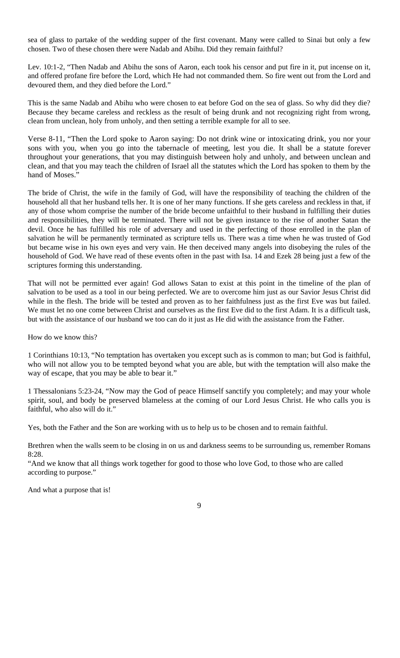sea of glass to partake of the wedding supper of the first covenant. Many were called to Sinai but only a few chosen. Two of these chosen there were Nadab and Abihu. Did they remain faithful?

Lev. 10:1-2, "Then Nadab and Abihu the sons of Aaron, each took his censor and put fire in it, put incense on it, and offered profane fire before the Lord, which He had not commanded them. So fire went out from the Lord and devoured them, and they died before the Lord."

This is the same Nadab and Abihu who were chosen to eat before God on the sea of glass. So why did they die? Because they became careless and reckless as the result of being drunk and not recognizing right from wrong, clean from unclean, holy from unholy, and then setting a terrible example for all to see.

Verse 8-11, "Then the Lord spoke to Aaron saying: Do not drink wine or intoxicating drink, you nor your sons with you, when you go into the tabernacle of meeting, lest you die. It shall be a statute forever throughout your generations, that you may distinguish between holy and unholy, and between unclean and clean, and that you may teach the children of Israel all the statutes which the Lord has spoken to them by the hand of Moses.'

The bride of Christ, the wife in the family of God, will have the responsibility of teaching the children of the household all that her husband tells her. It is one of her many functions. If she gets careless and reckless in that, if any of those whom comprise the number of the bride become unfaithful to their husband in fulfilling their duties and responsibilities, they will be terminated. There will not be given instance to the rise of another Satan the devil. Once he has fulfilled his role of adversary and used in the perfecting of those enrolled in the plan of salvation he will be permanently terminated as scripture tells us. There was a time when he was trusted of God but became wise in his own eyes and very vain. He then deceived many angels into disobeying the rules of the household of God. We have read of these events often in the past with Isa. 14 and Ezek 28 being just a few of the scriptures forming this understanding.

That will not be permitted ever again! God allows Satan to exist at this point in the timeline of the plan of salvation to be used as a tool in our being perfected. We are to overcome him just as our Savior Jesus Christ did while in the flesh. The bride will be tested and proven as to her faithfulness just as the first Eve was but failed. We must let no one come between Christ and ourselves as the first Eve did to the first Adam. It is a difficult task, but with the assistance of our husband we too can do it just as He did with the assistance from the Father.

How do we know this?

1 Corinthians 10:13, "No temptation has overtaken you except such as is common to man; but God is faithful, who will not allow you to be tempted beyond what you are able, but with the temptation will also make the way of escape, that you may be able to bear it."

1 Thessalonians 5:23-24, "Now may the God of peace Himself sanctify you completely; and may your whole spirit, soul, and body be preserved blameless at the coming of our Lord Jesus Christ. He who calls you is faithful, who also will do it."

Yes, both the Father and the Son are working with us to help us to be chosen and to remain faithful.

Brethren when the walls seem to be closing in on us and darkness seems to be surrounding us, remember Romans 8:28.

"And we know that all things work together for good to those who love God, to those who are called according to purpose."

And what a purpose that is!